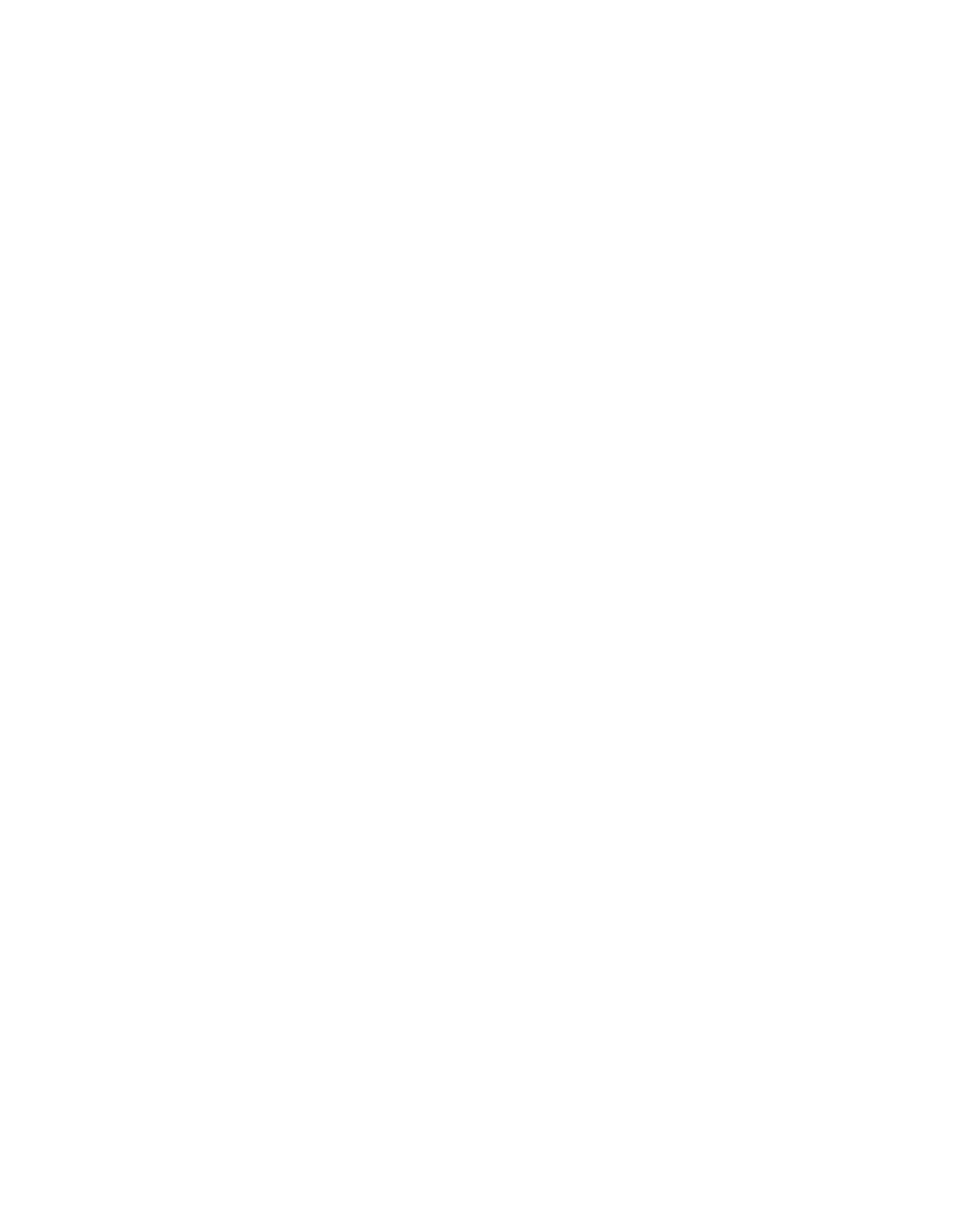

#### **CITY COUNCIL MEETING DATE:** 05/18/2021 **AGENDA REPORT AGENDA HEADING:** Regular Business

## **AGENDA TITLE:**

Consideration and possible action to identify a financing option for the Ladera Linda Community Center and Park Project.

## **RECOMMENDED CITY COUNCIL ACTIONS:**

- 1. Based on a traditional procurement approach, review the financing option recommended by the Finance Advisory Committee for the Ladera Linda Community Center and Park Project using the following combined funding sources:
	- a. 50% of the American Rescue Plan Act;
	- b. Available funds in the Quimby Fund;
	- c. A 50/50 split between financing with iBank and the Capital Infrastructure Program Fund Reserve; and,
	- d. Create a framework to replenish CIP Fund with interest earnings, additional transfers from the General Fund when there is a surplus, and private funding such as donations and capital fundraisers.
- 2. If acceptable, affirm the FAC's recommendation and direct Staff to proceed with filing the necessary application with iBank.

#### **FISCAL IMPACT:** N/A

| <b>Amount Budgeted:</b>          | N/A |
|----------------------------------|-----|
| <b>Additional Appropriation:</b> | N/A |
| <b>Account Number(s):</b>        | N/A |

|                     | <b>ORIGINATED BY:</b> Trang Nguyen, Director of Finance 1M |  |
|---------------------|------------------------------------------------------------|--|
|                     | REVIEWED BY: Karina Bañales, Deputy City Manager           |  |
| <b>APPROVED BY:</b> | Ara Mihranian, AICP, City Manager 4                        |  |

#### **ATTACHED SUPPORTING DOCUMENTS:**

- A. CIP Fund Forecasts (page A-1)
- B. Sample iBank Amortization Schedule (page B-1)
- C. April 22, 2021 Finance Advisory Committee staff report (page C-1)
- D. May 6, 2021 Finance Advisory Committee staff report (page D-1)
- E. Public comments received by May 11, 2021 (page E-1)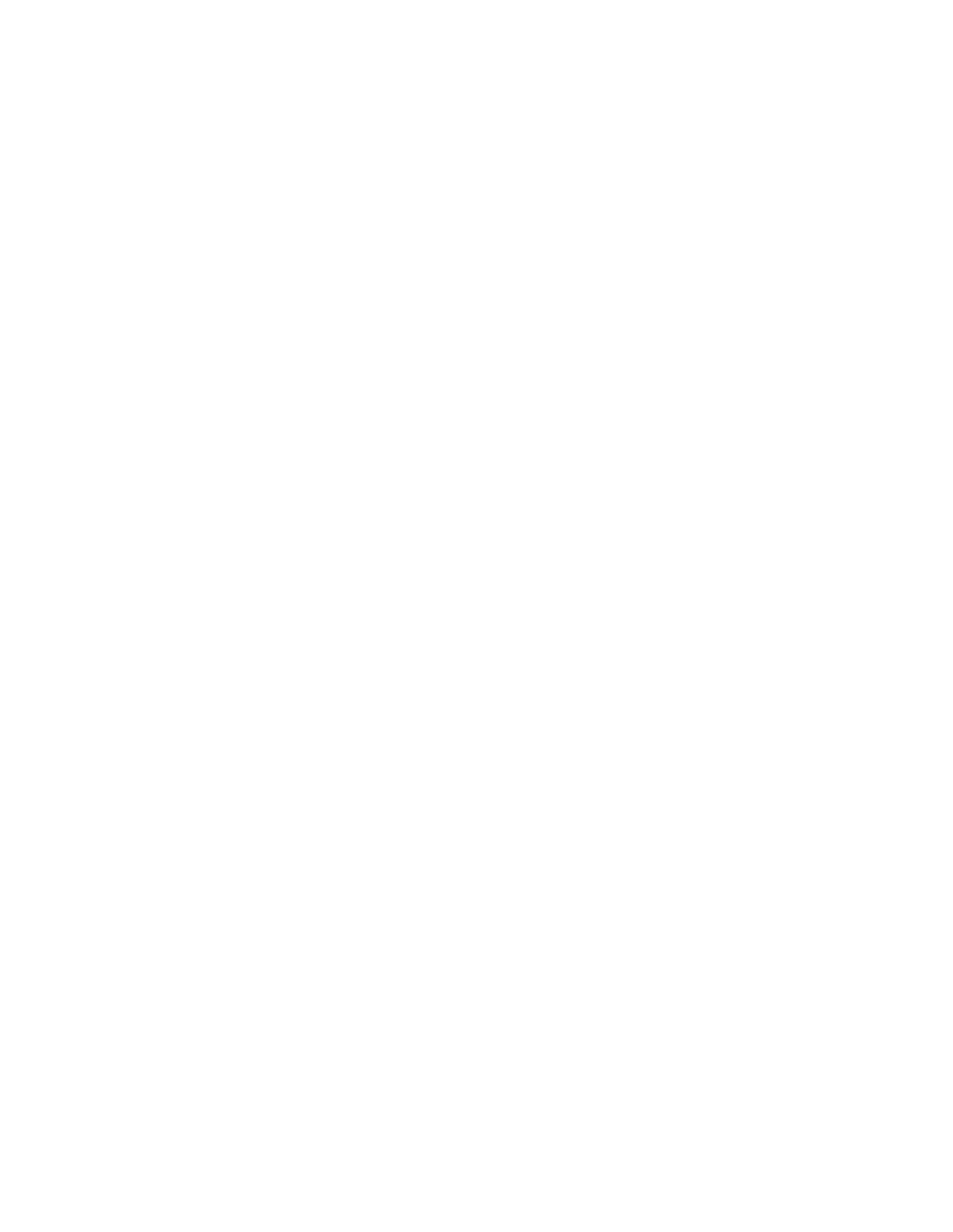## **BACKGROUND:**

On April 6, 2021, the City Council upheld the Planning Commission's approval of the Ladera Linda Community Center and Park Project. The summary of the approval are as follows:

- Adopted Resolution No. 2021-13 upholding the Planning Commissionapproved planning entitlements, with conditions of approval, consisting of Conditional Use Permit, Major Grading Permit, Variance and Site Plan Review application findings (planning entitlements), thereby approving the project with certain modifications to the conditions.
- Directed Staff to proceed with the completion of construction documents and authorize advertisement of bids upon final completion of plans and specifications for the project.
- Directed Staff to relocate and optimize handicap parking spaces closer to the building and explore the cost and effective ways to install exterior shutters over glass surfaces to provide the necessary security.

Based on the City Council's directives on the project, which was estimated to cost approximately \$15.7 million at the April 6 meeting, potential financing options were presented to the Finance Advisory Committee (FAC) at a special meeting on April 22, 2021 (Attachment C). At the conclusion of the meeting, FAC formed two Subcommittees to review (1) financing options and (2) operating financial impacts of the new facility. The Subcommittee Members for the financing options are Vice Chair Lewis and Members MacAllister and Yourman. The Subcommittee for the operating financial impacts is comprised of Members Vlaco and Seal.

On May 6, 2021, the financing options Subcommittee presented its recommendations to the larger FAC, which, after considering the information presented, voted unanimously to forward the following recommendation to the City Council:

- Use up to 50% of the City's American Rescue Plan Act (ARPA) funding for the project. Currently estimated at \$3.9 million.
- Use any available funding from the Quimby Fund for the project. Currently estimated at \$943,500.
- For the remaining balance of the Project cost, fund the difference between a loan and the Capital Infrastructure Program (CIP) Fund reserve, as follows:
	- o Use iBank to finance the remaining 50% of the project cost, after the use of ARPA and the Quimby Fund, with a term of 10 years. Currently, the estimated financing amount is \$5.5 million or 35% of the total estimated project cost as reported on April 6.
	- $\circ$  Use reserves from the CIP Fund to fund the remaining 50% of the project cost. Currently, it is estimated that \$5.3 million or 34% of the total estimated project cost, as reported on April 6, would be needed.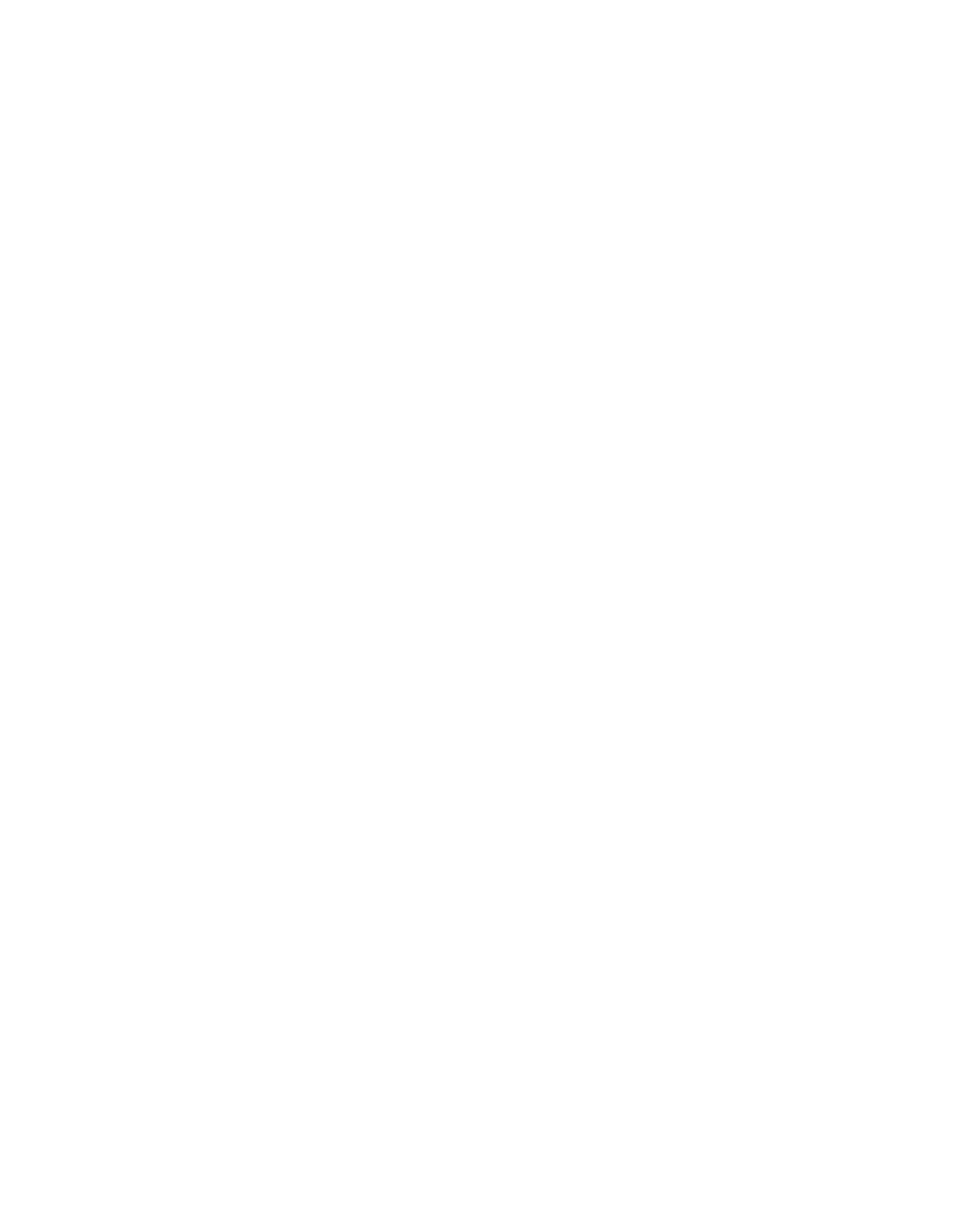• Create a framework to replenish the CIP Fund with interest earnings, additional transfers from the General Fund when there is a surplus, and private funding such as donations and capital fundraisers.

The above recommendation from FAC ensures that construction of the project will not result in any tax increase to residents and that projects identified in the 5-year CIP continue to be funded based on the City's current practice of using transient occupancy tax (TOT) generated by Terranea and restricted funds.

At the same meeting, the operating financial impacts Subcommittee also reported that it met with Finance Director Nguyen, Recreation and Parks Deputy Director Trautner, and Recreation and Parks Senior Administrative Analyst Waters to discuss the project's operating revenues and expenditures after construction is completed. The discussion that ensued with the Subcommittee revealed that it is too early and there is not enough data or information to make any assumptions of the operating impacts of the new facility. Therefore, the FAC recommended, as part of the next fiscal year workplan, that the Subcommittee continue to analyze the operational, financial impacts of the project.

## **DISCUSSION:**

## **Project Procurement**

During the April 22, 2021, FAC special meeting, Staff reiterated to the FAC the following three procurement options that were previously presented by Kosmont Transaction Services (KTS) at the February 25 meeting:

- Traditional (design-bid-build)
	- $\circ$  The City's responsibility is from start to finish of the project.
	- o Requires bidding out most components of the project.
	- o May take longer to complete.
	- o Flexible financing options.
- Total Project Delivery
	- o The City is not responsible for the project installation.
	- o Guaranteed delivery.
	- o Limited to lease payment.
- Design-Build
	- $\circ$  The City's responsibility is from start to finish of the project.
	- o One contractor to design and build.
	- o Streamline the process to reduce the time to complete.
	- o Flexible financing options.

At the April 22 meeting, the FAC was informed that the City is too far along the design process that the options of design-build and total project delivery are no longer viable. Therefore, the only procurement option the City has at this point is the traditional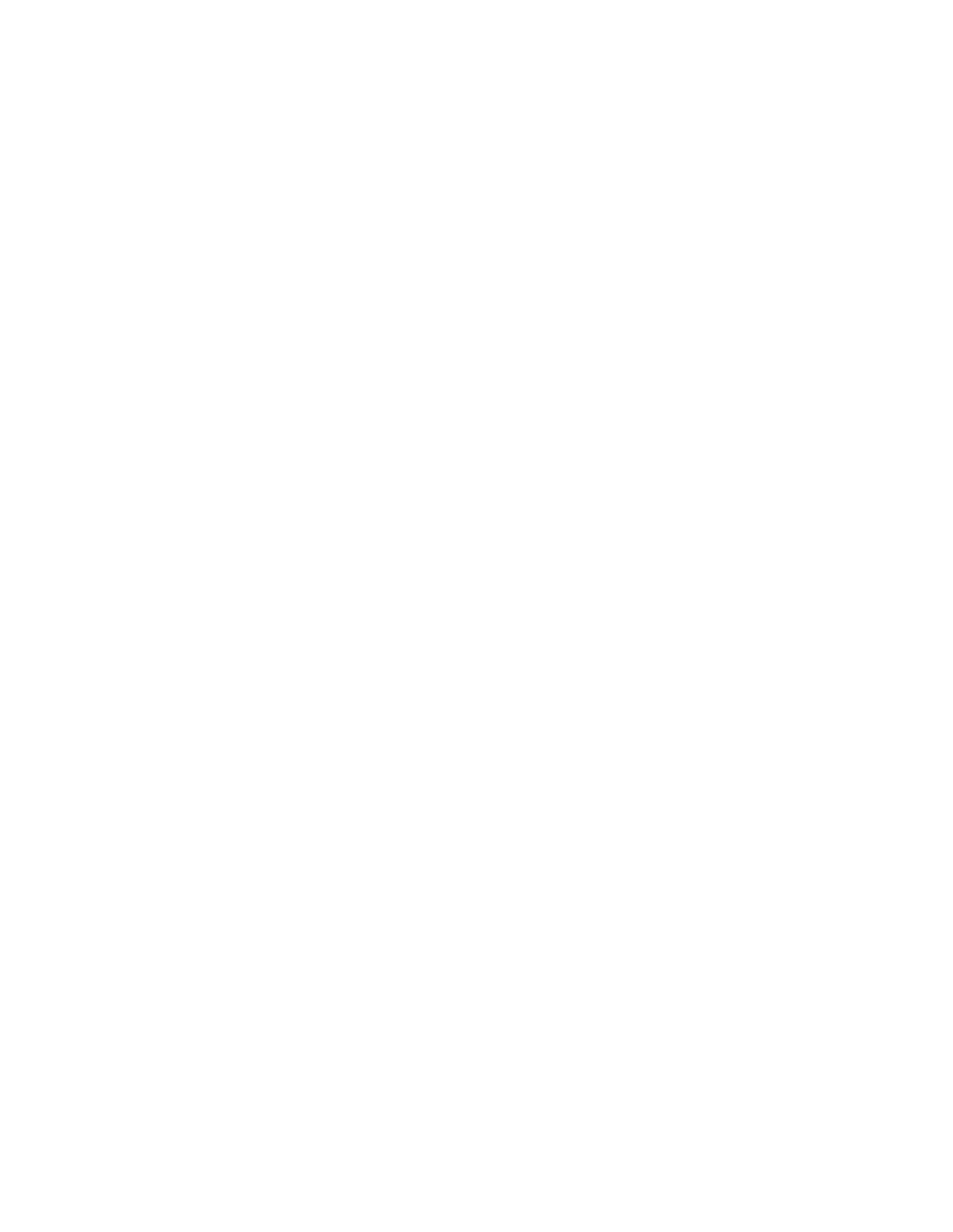approach (design-bid-build). The FAC agreed with the recommendation and did not discuss the procurement option at the subcommittee meeting or at the May 6 follow-up meeting.

#### **Financing Options**

At the April 22 meeting, Staff also reintroduced the following four financing options that KTS previously presented at the February 25 meeting:

- Current Resources
	- o Cash reserves
	- o Grants
	- o Special revenues
- Issue Securities
	- o Loan
	- $\circ$  General Obligation Bonds requires an affirmative vote of 2/3 of registered voters
	- o Lease Revenue Bonds no voter requirement
- Lease
	- $\circ$  Direct Lease non-tax exempt, term of less than 30 years
	- $\circ$  Total Project Delivery tax-exempt, 30-year term

During the discussion, FAC suggested a fifth option of private funding, such as donations and capital campaign fundraising. Staff and a couple of FAC members indicated that it is too late in the process to consider private funding as a financing option for the project. However, the FAC feels that private funding should be considered to try to replenish the CIP Fund Reserves used for the project.

After discussion ensued at the May 6 meeting, FAC agreed to finance the project from a combination of restricted funds, CIP Fund, and loan. The Committee agreed that the use of restricted funds for the project should be considered before using the CIP Fund and loan. FAC also noted that the balance of the total cost of the project, after the use of ARPA and Quimby Fund, should be split between the CIP Fund reserve and loan. For example, if the cost for the project increased to \$16 million from the current estimate of \$15.7 million, after using ARPA and Quimby Fund, the remaining balance of \$11,480,000 will be split evenly between the CIP Fund reserve and a loan.

Currently, the two restricted funds that the City can consider using for the project would come from the anticipated funds from the anticipated ARPA and Quimby Fund. The estimated funding from ARPA for the City is approximately \$7.8 million. The estimated fund balance in Quimby Fund on June 30, 2021, is approximately \$943,500. The FAC recommends using up to 50% of ARPA and all the available funds from the Quimby Fund for this project.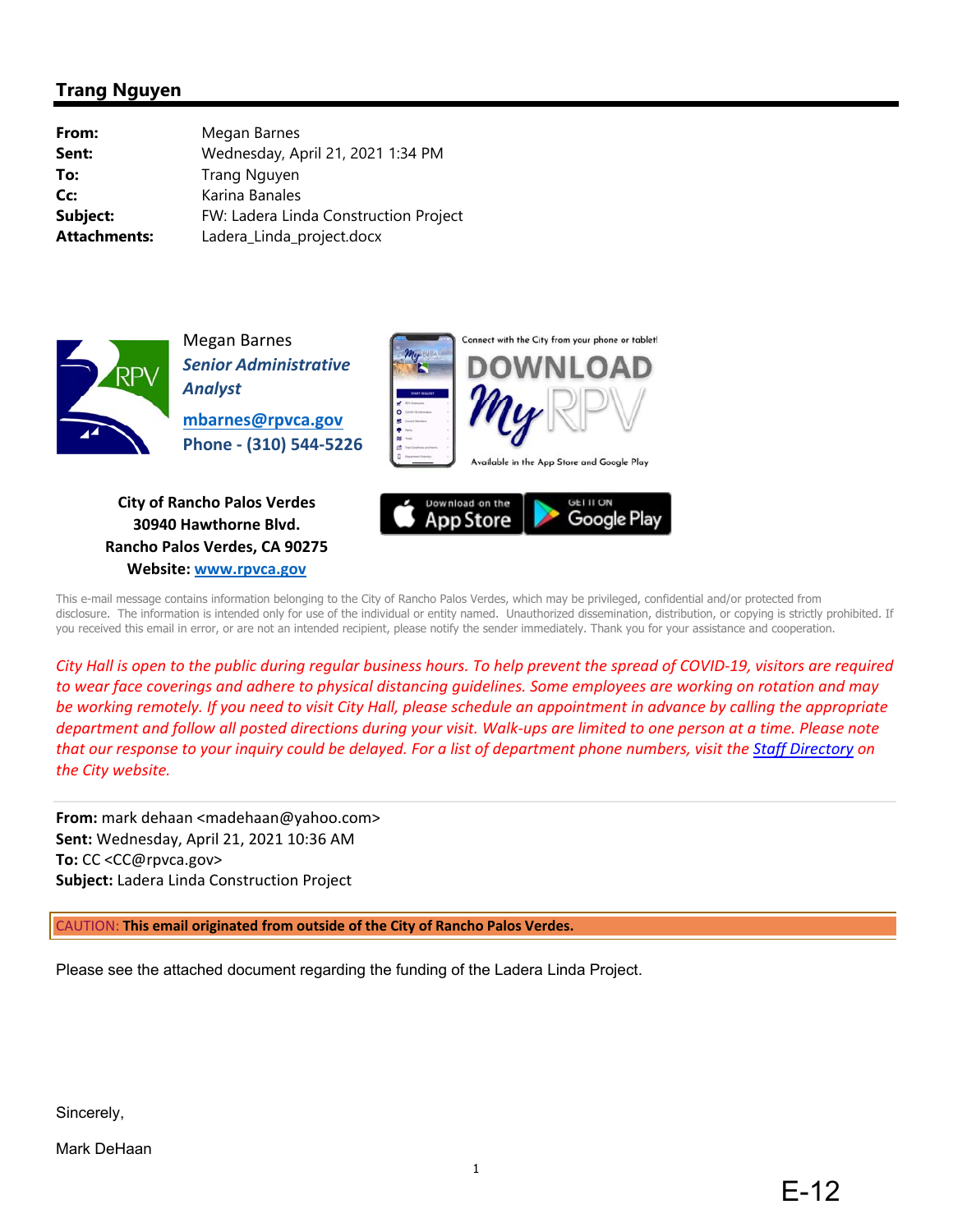Table 1 below estimates how the project funding would be allocated based on the cost estimate of \$15.7 million presented at the April 6 meeting.

## **Table 1: Ladera Linda Funding Summary**

| <b>Funding Description</b> | <b>Amount</b> |     |
|----------------------------|---------------|-----|
| <b>ARPA Fund</b>           | \$3,908,500   | 25% |
| <b>Quimby Fund</b>         | 943,500       | 6%  |
| <b>CIP Fund</b>            | 5,338,000     | 34% |
| <b>iBank Loan</b>          | 5,500,000     | 35% |
| <b>Total Funding</b>       | \$15,690,000  |     |

The following discussion provides details to the above allocation.

## American Rescue Plan Act (ARPA)

The ARPA was approved by Congress and subsequently signed into law by President Biden on March 11, 2021. The relief package provides funding in several areas such as state and local aid, education, rental assistance, and transit. Based on the preliminary information that the City received from the Government Finance Officers Association and the League of California Cities, the City's allocation under the state and local fiscal aid of \$350 billion is estimated to be \$7.8 million. Based on the most current information, eligible uses may include:

- Revenue replacement for the provision of government services to the extent of the reduction in revenue due to the COVID-19 public health emergency relative to revenues collected in the most recent fiscal year prior to the emergency;
- Premium pay for essential workers;
- Assistance to small businesses, households, and hard-hit industries, and economic recovery
- Investments in water, sewer, and broadband infrastructure.

The FAC recommends using up to 50% of the allocation from the ARPA to fund the project based on the following reasons:

- The project is ready and eligible for ARPA funds under revenue replacement.
	- o Due to the sudden revenue loss from the TOT over the last 18 months, the City may use ARPA funds for the purpose of revenue replacement. As illustrated in Table 2 below, the City's estimated TOT revenue loss is \$4.5 million.
	- o Since over 90% of the City's TOT is transferred to the CIP to fund capital projects, it would be an opportunity to utilize this grant and replace the revenue loss in the CIP caused by the pandemic.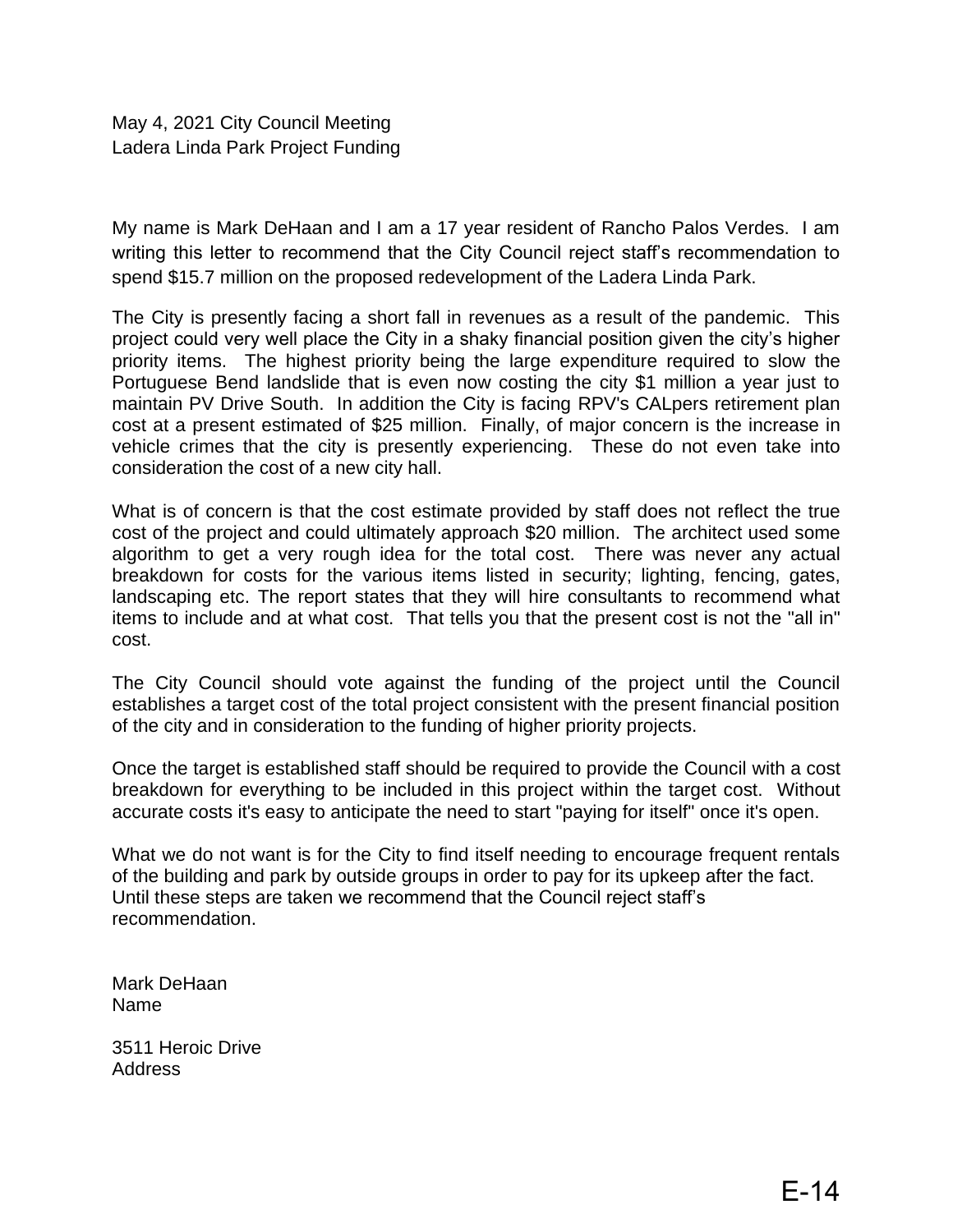- $\circ$  Additionally, by applying for the revenue replacement section of the ARPA, the City may have more control on how funds can be used for capital projects. Whereas the other eligible uses are restricted for a specific purpose (i.e., infrastructure is listed for water, sewer, and broadband).
- Timing
	- o The funding for ARPA must be spent, not committed, by December 2024. Based on the current staffing capacity and the scheduled projects from the five-year CIP presented to the City Council on April 12, 2021, it would seem unattainable to schedule additional capital projects and spend more than 50% of the ARPA funds by 2024.

|                         | <b>TOTAL</b>              |                |                |               |                |                          |
|-------------------------|---------------------------|----------------|----------------|---------------|----------------|--------------------------|
|                         | <b>REVENUE</b>            | FY 18-19       | FY 19-20       | FY 19-20      | FY 20-21       | FY 20-21                 |
|                         | <b>LOSSES</b>             | <b>Actuals</b> | <b>Actuals</b> | <b>Losses</b> | <b>YE Est.</b> | <b>Losses</b>            |
| <b>TOT</b>              | <mark>(4,545,195) </mark> | 5,645,497      | 3,909,799      | (1,735,698)   | 2,836,000      | <mark>(2,809,497)</mark> |
| Sales tax               | (1, 186, 720)             | 2,661,181      | 2,163,342      | (497,839)     | 1,972,300      | (688, 881)               |
| Permits & fees          | (718,290)                 | 2,217,106      | 1,916,822      | (300, 284)    | 1,799,100      | (418,006)                |
| <b>Business License</b> | (280, 418)                | 945,792        | 896,166        | (49,626)      | 715,000        | (230, 792)               |
| Interest Earnings       | (214, 586)                | 366,409        | 358,232        | (8, 177)      | 160,000        | (206, 409)               |
| Rental/Leases           | (702, 382)                | 478,729        | 189,076        | (289, 653)    | 66,000         | (412, 729)               |
| <b>PVIC Sales</b>       | (174, 708)                | 137,551        | 92,494         | (45,057)      | 7,900          | (129, 651)               |
| <b>TOTAL</b>            | (7,822,299)               | 12,452,265     | 9,525,931      | (2,926,334)   | 7,556,300      | (4,895,965)              |

## **Table 2: Estimated Revenue Losses**

*\*FY 2020-21 year-end estimates is based on the third quarter review as presented in the preliminary budget report.*

# Quimby Fund

The Quimby Fund is a restricted fund for parks and recreation usage. Therefore, the project is an eligible use of funds. The revenue sources for this fund are from developer fees and dedication of land for park and recreation purposes. At the beginning of FY 2020-21, the Quimby Fund had a fund balance of almost \$1.1 million and is projected to end the year with just over \$943,500. The reduction is due to the outstanding contract balance with Johnson Favaro, the project designer. The FAC recommends using all available funds in Quimby Fund.

# Capital Infrastructure Program (CIP) Fund

The CIP Fund is the primary funding source for the City's capital projects. At the start of FY 2020-21, CIP had a fund balance of over \$25.3 million. This fund is estimated to end the year with \$24.5 million in fund balance. The City Council Reserve Policy requires the CIP Fund to maintain a reserve of \$5 million, leaving the fund with an estimated excess reserve of over \$19.5 million on June 30, 2021.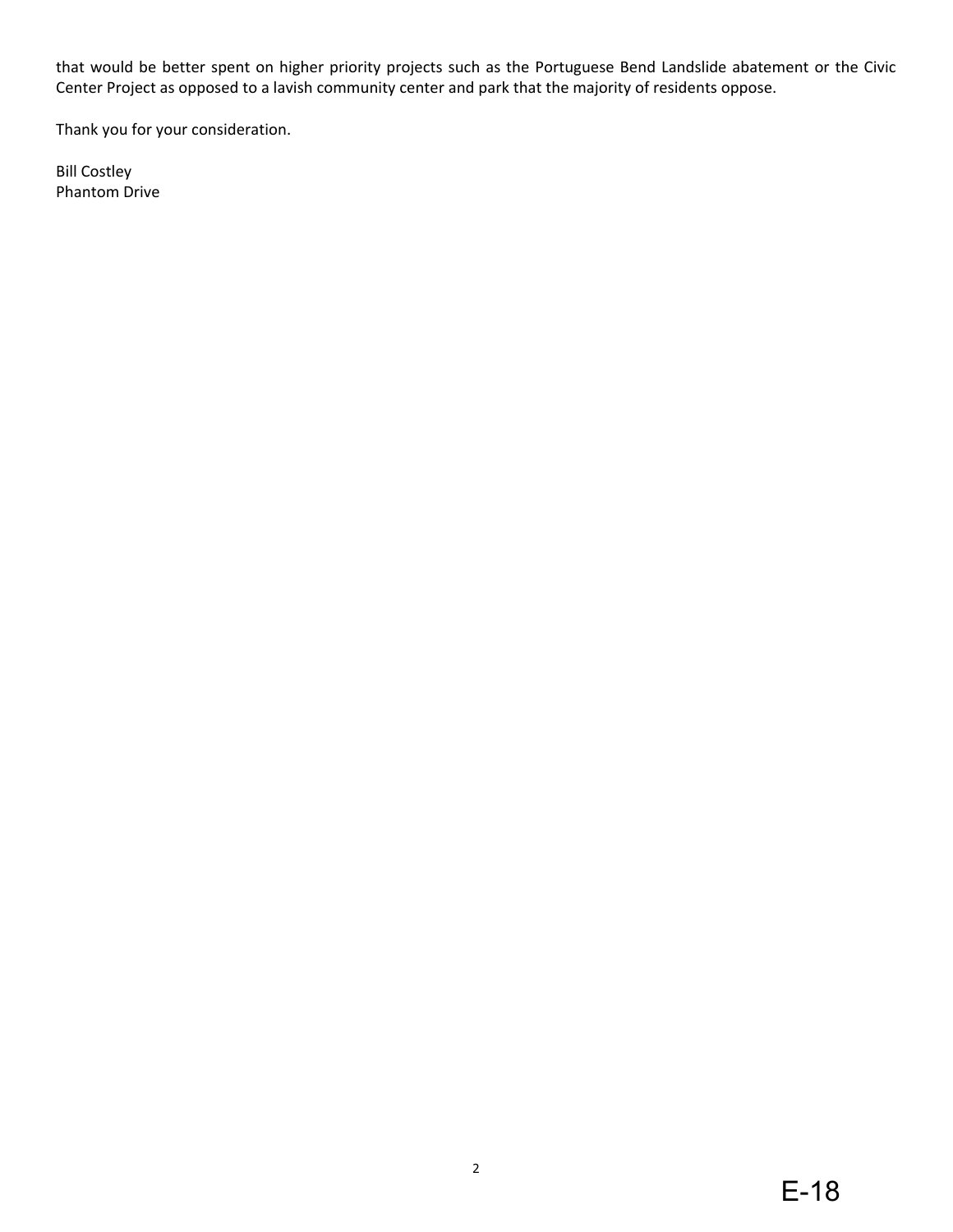CIP Fund spending can be split into two general categories: annual capital projects, which are funded by annual transfers from the General Fund, and one-time City Council-directed projects, which are funded by the CIP excess fund reserve. Based on past City Council policy when Terranea was being entitled, it was determined that TOT generated from the hotel would not support General Fund operations but rather transferred to the CIP to fund annual capital projects. That has been the practice of the City until FY2017-18, when the TOT began funding the increases to the Los Angeles County Sheriff's contract. Funds for some CIP projects that were not completed in the past were moved to the CIP Reserve, as well as the occasional transfer of funds from the General Fund. The intent was to build a healthy reserve for unforeseen projects and/or fund one-time City Council-directed capital projects for the public's benefit and use.

Staff reviewed the CIP Fund and less than 40% of the budget was typically spent by June 30 of each fiscal year, with an average of \$3.3 million spent on capital project over the last three fiscal years between FY 2018-19 and FY 2020-21. In other words, the remaining unspent funds were returned to the fund balance. Based on the 10-year forecast for transfers from General Fund to CIP Fund, the average transfer is estimated at over \$3.4 million from FY 2022-23 to FY 2030-31 (Attachment A). The estimated transfer amount includes the estimated reduction of \$2 million from public safety increases. Therefore, the FAC is comfortable with making the recommendation of using the CIP excess reserve to fund the project and the annual payment for any debt service.

Based on the current estimated project cost of \$15.7 million, the projected use of the CIP excess reserve as recommended by the FAC, is approximately \$5.3 million plus the annual payment of any debt service for the next 10 years of just over \$6.3 million for a total use of CIP reserve of about \$11.6 million (see next section on debt service). With conservative estimates of \$2,200,000 on interest earnings and \$2,200,000 on additional transfers from the General Fund over 10 years, the net impact on the CIP Fund is \$7.3 million over the next 10 years, bringing the CIP Fund balance to approximately \$16.8 million in FY 2030-31. This fund balance would enable the City to fund one-time unforeseen capital project or other City Council-directed projects, such as the Portuguese Bend Landslide Remediation or Western Avenue Beautification projects, if desired. This does not account for potential grant funds available for future capital projects, such as the Portuguese Bend Landslide Remediation project as currently being sought.

| FY 2020-21 Estimated ending fund balance  | \$24,098,510   |  |  |  |
|-------------------------------------------|----------------|--|--|--|
| Initial funding for Ladera Linda          | (5,338,000)    |  |  |  |
| 10-year of annual payments                | (6,355,400)    |  |  |  |
| Projected 10-year interests               | 2,200,000      |  |  |  |
| Projected 10-year of additional transfers | 2,200,000      |  |  |  |
| FY 2030-31 Estimated ending fund balance  | \$16,805,110   |  |  |  |
|                                           |                |  |  |  |
| <b>Estimated Net impact on CIP Fund</b>   | \$ (7,293,400) |  |  |  |

#### **Table 3: Estimated Net Impact on the CIP Fund**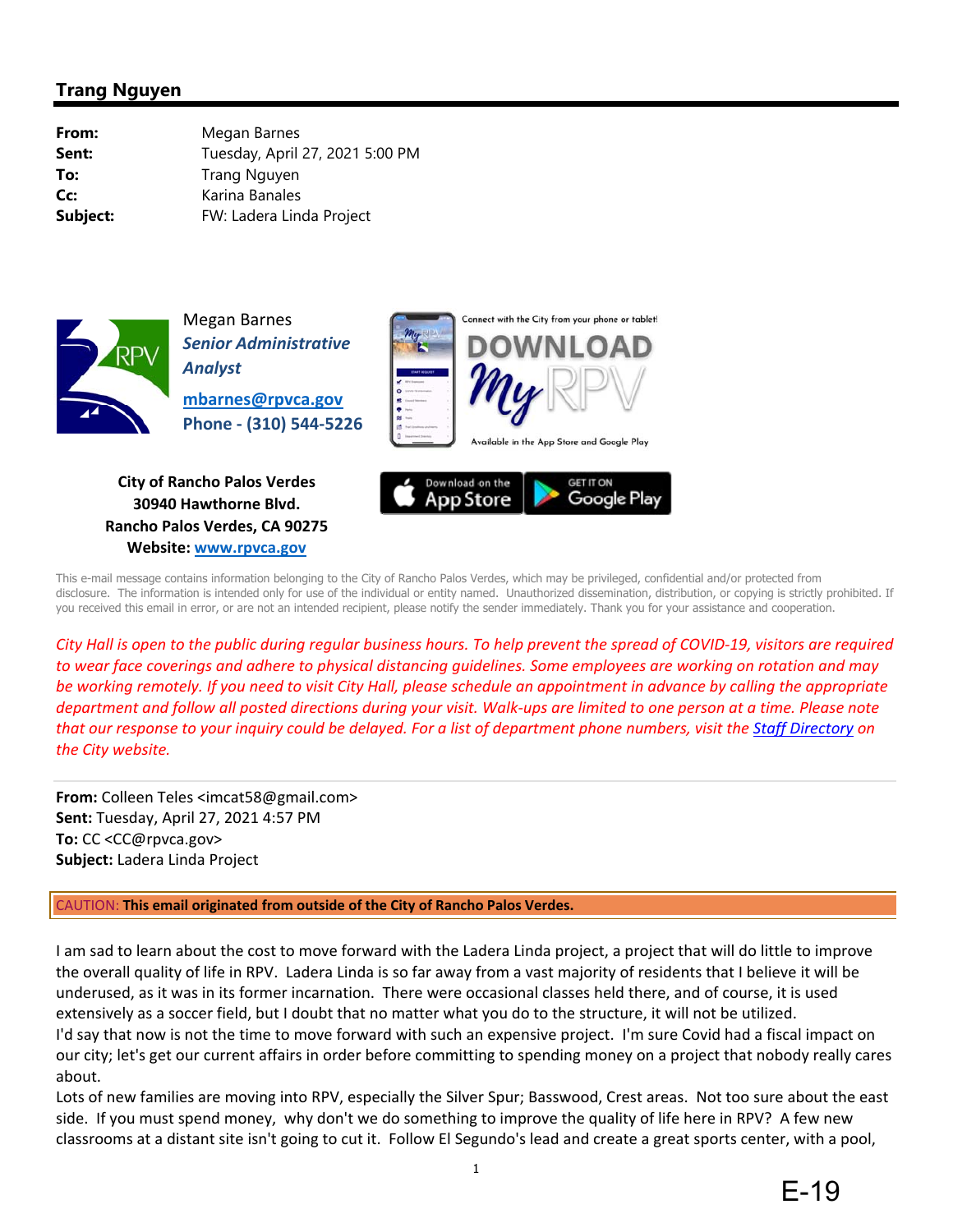#### iBank Financing Process

The Infrastructure State Revolving Fund (ISFR) Program with iBank offers low-cost public financing to state and local governments. ISRF financing is available between \$50,000 to \$25 million with the loan terms up to a maximum of 30 years or the useful life of the project.

Below is an estimated processing timeline to obtain an ISFR loan with iBank.



The first step is a preliminary review in which iBank's credit committee reviews the City's financials and the proposed project to ensure that the financing complies with underwriting criteria. Once the credit committee approves the project, the City would receive an invitation to apply for the loan. iBank would work with Staff to draft the resolution for the City Council's consideration at a future meeting and assist with the application and the preparation of the staff report for the iBank's Board of Directors. Once the board approves the loan, its legal counsel would prepare the legal documents to fund the loan.

If the City Council proceeds with the FAC's recommendation, the total estimated project cost may have to be revised to include the cost for financing the project with iBank over a 10-year term. The financing cost for the 10-year loan is estimated at \$855,400 at this time. The annual payment for the 10-year loan is estimated at \$635,540 coming from the CIP excess fund reserve based on a proposed \$5.5 million loan.

If the City Council approves using iBank as a lending option, Staff seeks authorization from the City Council to proceed with Step 1, preliminary review, and specific details on the financing process. Staff would bring back a report to update the City Council on the process and details as they become available. It is also important to note that the loan would not be finalized until approved and accepted by the City Council at a public meeting.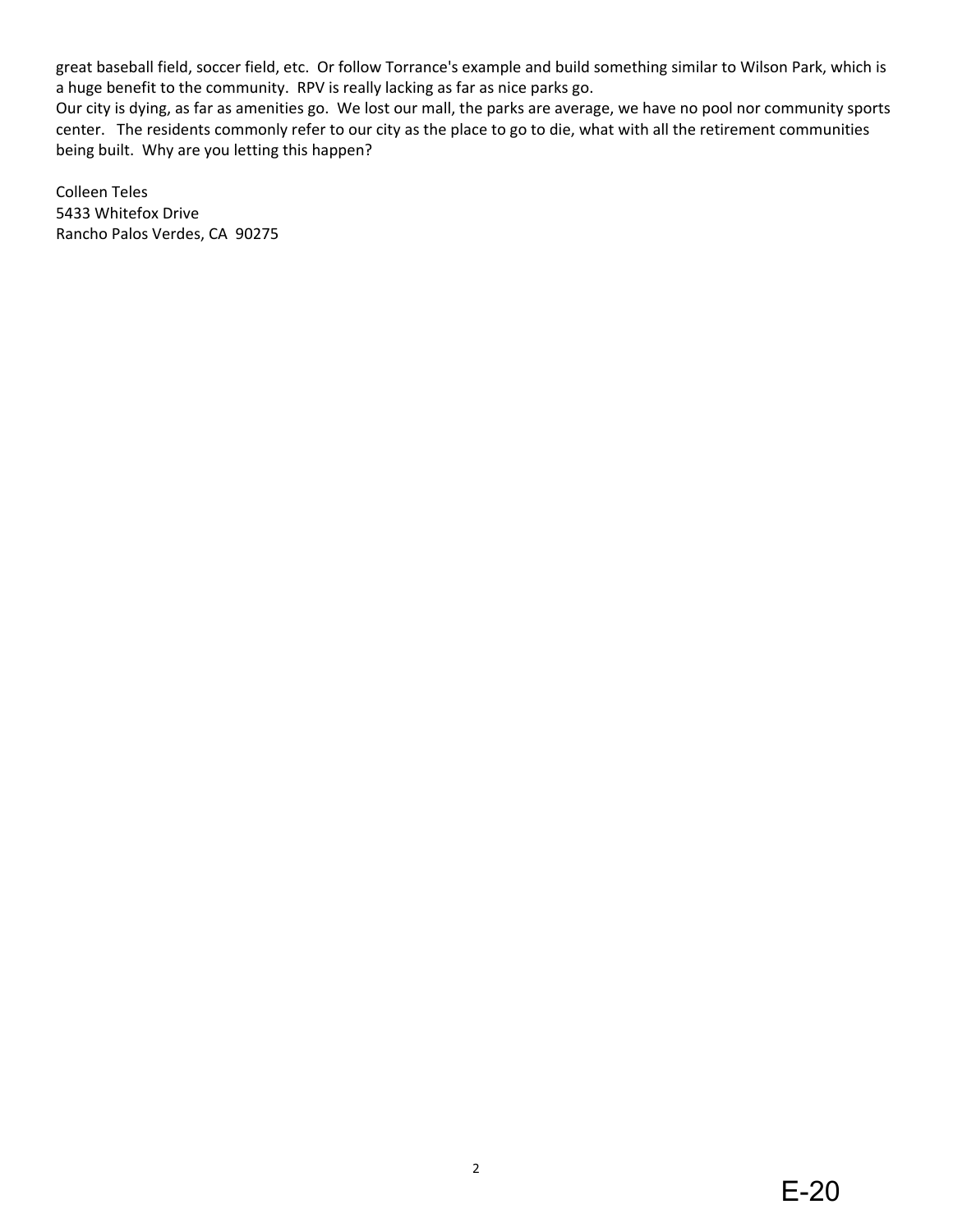## **Framework to Replenish the CIP Fund**

Besides reviewing, evaluating, and providing a recommendation for financing options for the project, the FAC also recommends the combined use of the following to replenish the CIP Fund Reserves:

- Using interest earnings from CIP's fund balance.
- Transferring any surplus from the General Fund to the CIP Fund Reserve; and,
- Developing a capital campaign to raise private donations.

## Interest Earnings

Over the last two years, the CIP Fund has earned almost \$1 million in interest earnings. In FY 2018-19, the interest earned was \$509,000 and \$471,000 in FY 2019-20. For the current fiscal year, the estimated interest-earning is approximately \$300,000. The Subcommittee recommends using the interest earned to replenish the fund balance. Staff has taken a conservative approach and projected a flat \$200,000 annually in interest earnings in the forecast model. This is to account for the timing of the disbursement of funds on the project compared to the interest earning from the loan disbursement and the ARPA allocation. The FAC supported this recommendation.

## Surplus Transfers from the General Fund

Typically, in December, the Finance Department brings forward a staff report on the City's unaudited actuals of the previous fiscal year. This report highlights any surplus/deficit in the General Fund, revenues minus expenditures. Looking back at the last four years, the General Fund ended the year with a surplus ranging from \$223,000 to \$1.9 million. The estimated surplus for FY 2020-21, as presented in the preliminary budget report, is over \$700,000.

|                          | FY 2020-21               | FY 2019-20     | FY 2018-19     | FY 2017-18     | FY 2016-17     |
|--------------------------|--------------------------|----------------|----------------|----------------|----------------|
| Revenues                 | 28,529,200               | 29,499,005     | 31,911,048     | 30,682,619     | 29,449,666     |
| Expenditures             | (27, 802, 800)           | (28, 538, 827) | (29, 201, 461) | (29, 429, 062) | (27, 692, 362) |
| PO Carry-forward         | -                        | (167,175)      | (341, 432)     | (715, 164)     | (963, 643)     |
| Continuing appropriation | $\overline{\phantom{a}}$ | (569,400)      | (400,000)      | (300,000)      | (415,000)      |
| <b>Surplus</b>           | 726,400                  | 223,603        | 1,968,155      | 238,393        | 378,661        |

## **Table 4: Five-Year History of the General Fund Surplus**

*\*FY 2020-21 surplus is an estimate based on the third quarter review in preliminary budget report.*

Based on this information, the FAC recommends transferring a portion of the surplus calculated at year-end to the CIP Fund to replenish the excess reserve. For the purpose of the model, Staff used \$200,000 annually as the additional transfer from the General Fund, which is the lowest surplus over five years. The FAC supported this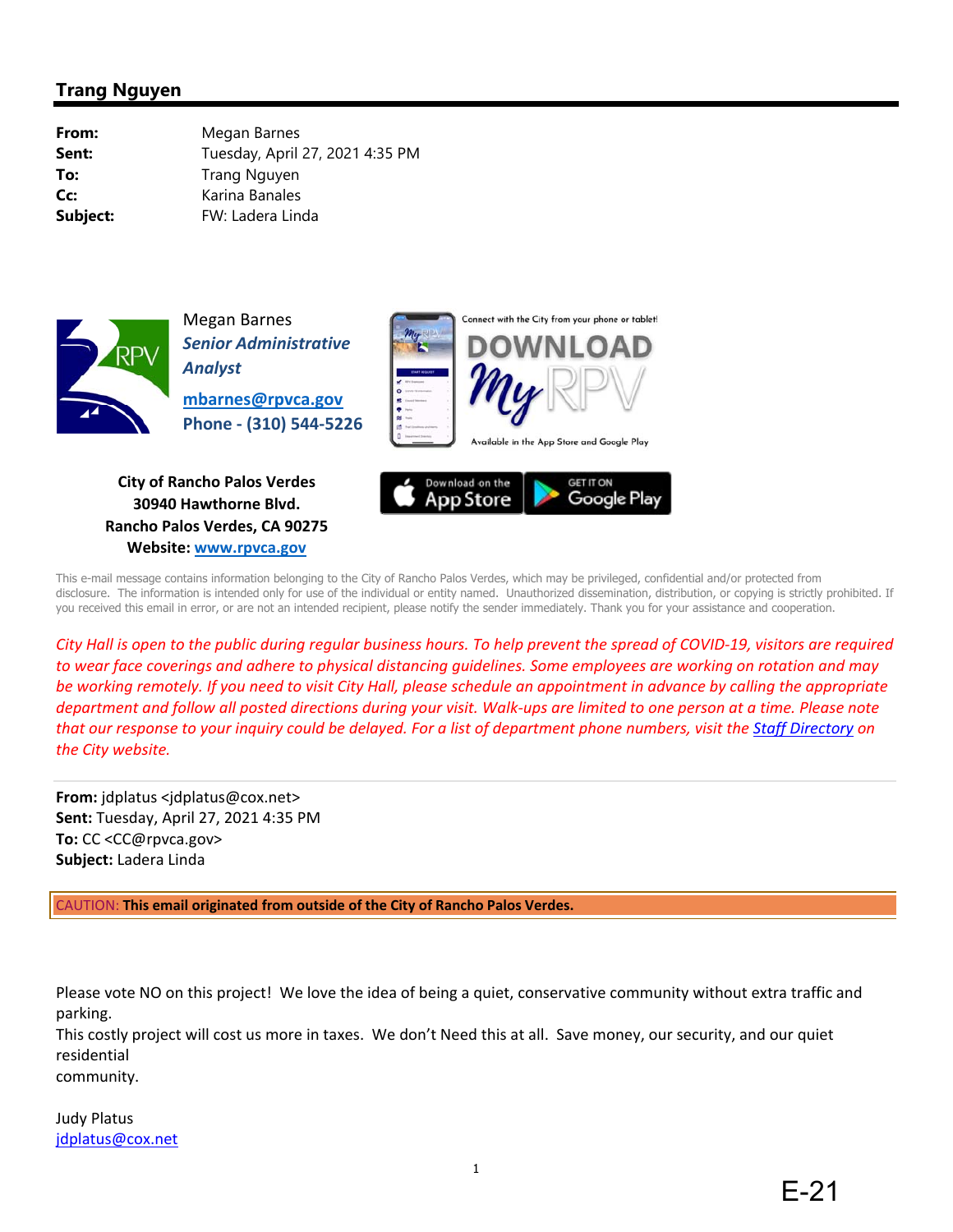#### recommendation. If acceptable, this option will be included in the year-end report that goes to the City Council every December.

## Capital Campaign

The Subcommittee also recommended the use of private donations to replenish the CIP fund balance. The approach for this recommendation would be a more inclusive approach by developing a donation program for the City's various capital projects. To encourage donations, the capital campaign could provide a donor wall and naming opportunities pursuant to City Council Policy No. 37. Any donation received would go directly to replenish the CIP Fund.

If acceptable, the FAC recommends that the City Council appoint a City Council subcommittee or create a new committee and onboard a consultant to develop a capital campaign program. At this time, the City Council may wish to have the Public Facilities Subcommittee, consisting of Mayor Alegria and Councilman Cruikshank, to serve in this capacity.

## **ADDITIONAL INFORMATION:**

## Minor Modification No. 1

On May 5, 2021, the Director of Community Development issued a Notice of Decision (NOD) for approval of Minor Modification No. 1 to the City Council-approved Conditional Use Permit, Variance, Grading Permit, and Site Plan Review for the Ladera Linda Community Center and Park Project (Case No. PLCU2020-0007). The design modifications include the reconfiguration of the proposed open-air restroom configuration (individual water closets and communal wash area) into enclosed, and separate men's and women's restrooms consisting of traditional stalls and washbasins, and minor reconfiguration of the parking lot, as seen in the revised site plan below:

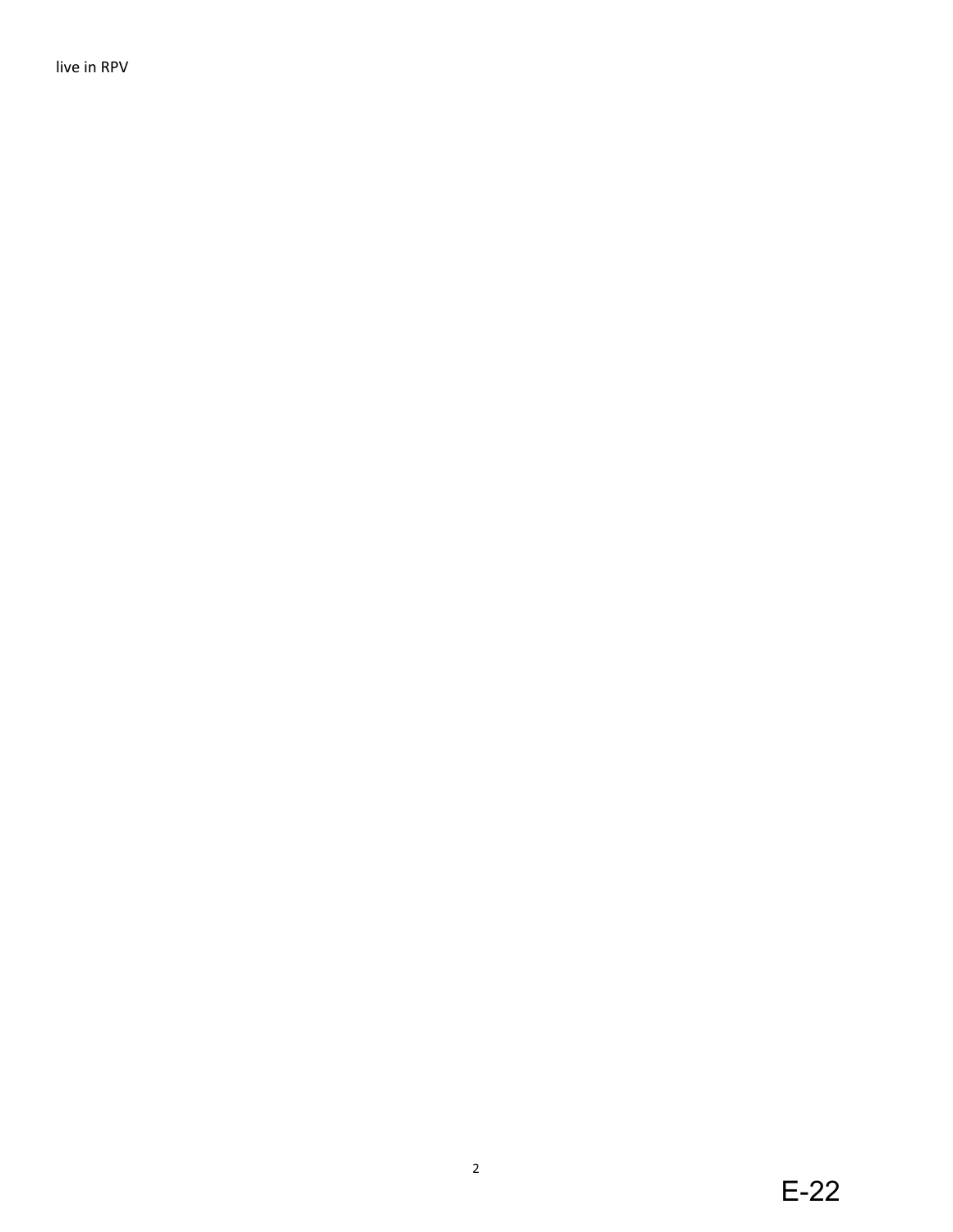The NOD provides for a 15-day period to appeal the Director's decision to the City Council. A \$2,275.00 appeal fee must accompany any appeal letter. If no appeal is filed, the Director's decision will be final at 5:30 PM on Thursday, May 20, 2021.

#### Project Cost Estimate Update

As a result of the approval of Minor Modification No. 1, Staff is working on estimating the full cost of enclosing the bathrooms to accommodate a separate men's and women's bathroom. At this time, the anticipated cost of enclosing the bathrooms remains approximately \$175,000 as stated in the April 6, 2021 Staff Report plus any escalation, associated soft costs, and contingency. Additionally, Staff is working to estimate the cost of installing security shutters on glass surfaces, which is anticipated to be approximately \$250,000 plus escalation, associated soft costs, and contingency.

In response to community feedback, Staff is working with the project's cost estimator (MGAC Inc.) to reformat the project cost estimate document to include more detailed information that can be presented in a format that is easily interpreted by the general public. The updated and re-formatted cost estimate is expected to be complete in the next several weeks, at which time it will be made available to the public and presented to the City Council at a future meeting.

The design of the enclosed bathrooms and security shutters, as well as the cost estimate updates and format changes are an additional service that will require an amendment to the Johnson Favaro contract. This contract amendment is estimated to be brought to City Council as early as June 2021.

In the coming weeks and months, Staff will bring other contract amendments to the City Council as the design progresses further towards construction documents. These will include hiring a security sub-consultant and a dry utility coordination sub-consultant, among others. Such sub-consultants and similar contract amendments were accounted in the overall project cost estimate presented to the City Council on April 6 and do not represent a cost increase.

#### Project Construction Manager

Based on City Council directive at the April 12 CIP workshop, Staff is in the process of publishing a request for proposal to on-board a project construction manager. Between now and the adoption of the budget in June 2021, staff will collect proposals and conduct selection interviews, that may include the participation on the interview panel by the City Council Public Facilities Subcommittee, so that a professional service agreement may be considered by the City Council soon after the budget is adopted.